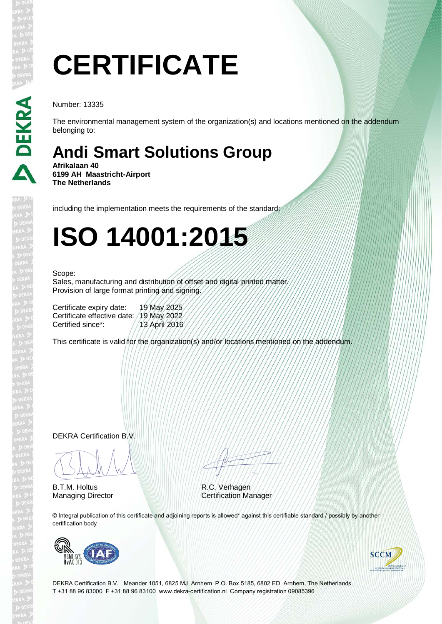# **CERTIFICATE**

Number: 13335

The environmental management system of the organization(s) and locations mentioned on the addendum belonging to:

### **Andi Smart Solutions Group**

**Afrikalaan 40 6199 AH Maastricht-Airport The Netherlands**

including the implementation meets the requirements of the standard:

## **ISO 14001:2015**

#### Scope:

Sales, manufacturing and distribution of offset and digital printed matter. Provision of large format printing and signing.

| Certificate expiry date:                 | 19 May 2025   |
|------------------------------------------|---------------|
| Certificate effective date: /19 May 2022 |               |
| Certified since*:                        | 13 April 2016 |

This certificate is valid for the organization(s) and/or locations mentioned on the addendum.

DEKRA Certification B.V.

BLAM

B.T.M. Holtus Managing Director Certification Manager

ATTITUD A

R.C. Verhagen

© Integral publication of this certificate and adjoining reports is allowed\* against this certifiable standard / possibly by another certification body





DEKRA Certification B.V. Meander 1051, 6825 MJ Arnhem P.O. Box 5185, 6802 ED Arnhem, The Netherlands T +31 88 96 83000 F +31 88 96 83100 www.dekra-certification.nl Company registration 09085396